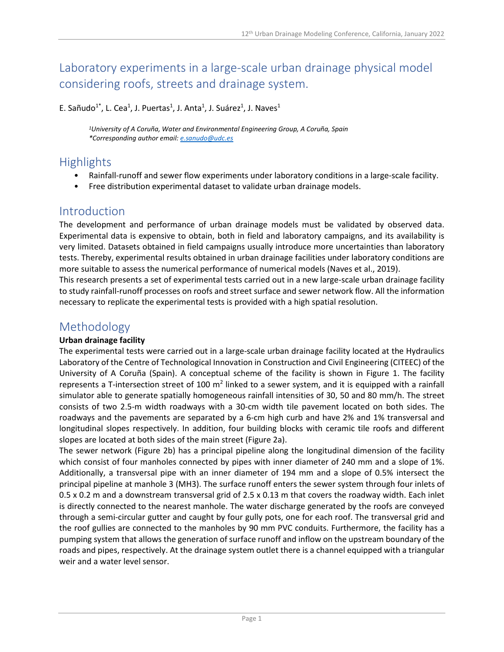# Laboratory experiments in a large-scale urban drainage physical model considering roofs, streets and drainage system.

E. Sañudo<sup>1\*</sup>, L. Cea<sup>1</sup>, J. Puertas<sup>1</sup>, J. Anta<sup>1</sup>, J. Suárez<sup>1</sup>, J. Naves<sup>1</sup>

*1University of A Coruña, Water and Environmental Engineering Group, A Coruña, Spain \*Corresponding author email: [e.sanudo@udc.es](mailto:e.sanudo@udc.es)*

## **Highlights**

- Rainfall-runoff and sewer flow experiments under laboratory conditions in a large-scale facility.
- Free distribution experimental dataset to validate urban drainage models.

### Introduction

The development and performance of urban drainage models must be validated by observed data. Experimental data is expensive to obtain, both in field and laboratory campaigns, and its availability is very limited. Datasets obtained in field campaigns usually introduce more uncertainties than laboratory tests. Thereby, experimental results obtained in urban drainage facilities under laboratory conditions are more suitable to assess the numerical performance of numerical models (Naves et al., 2019).

This research presents a set of experimental tests carried out in a new large-scale urban drainage facility to study rainfall-runoff processes on roofs and street surface and sewer network flow. All the information necessary to replicate the experimental tests is provided with a high spatial resolution.

### Methodology

#### **Urban drainage facility**

The experimental tests were carried out in a large-scale urban drainage facility located at the Hydraulics Laboratory of the Centre of Technological Innovation in Construction and Civil Engineering (CITEEC) of the University of A Coruña (Spain). A conceptual scheme of the facility is shown in [Figure 1.](#page-1-0) The facility represents a T-intersection street of 100  $m^2$  linked to a sewer system, and it is equipped with a rainfall simulator able to generate spatially homogeneous rainfall intensities of 30, 50 and 80 mm/h. The street consists of two 2.5-m width roadways with a 30-cm width tile pavement located on both sides. The roadways and the pavements are separated by a 6-cm high curb and have 2% and 1% transversal and longitudinal slopes respectively. In addition, four building blocks with ceramic tile roofs and different slopes are located at both sides of the main street [\(Figure 2a](#page-1-1)).

The sewer network [\(Figure 2b](#page-1-1)) has a principal pipeline along the longitudinal dimension of the facility which consist of four manholes connected by pipes with inner diameter of 240 mm and a slope of 1%. Additionally, a transversal pipe with an inner diameter of 194 mm and a slope of 0.5% intersect the principal pipeline at manhole 3 (MH3). The surface runoff enters the sewer system through four inlets of 0.5 x 0.2 m and a downstream transversal grid of 2.5 x 0.13 m that covers the roadway width. Each inlet is directly connected to the nearest manhole. The water discharge generated by the roofs are conveyed through a semi-circular gutter and caught by four gully pots, one for each roof. The transversal grid and the roof gullies are connected to the manholes by 90 mm PVC conduits. Furthermore, the facility has a pumping system that allows the generation of surface runoff and inflow on the upstream boundary of the roads and pipes, respectively. At the drainage system outlet there is a channel equipped with a triangular weir and a water level sensor.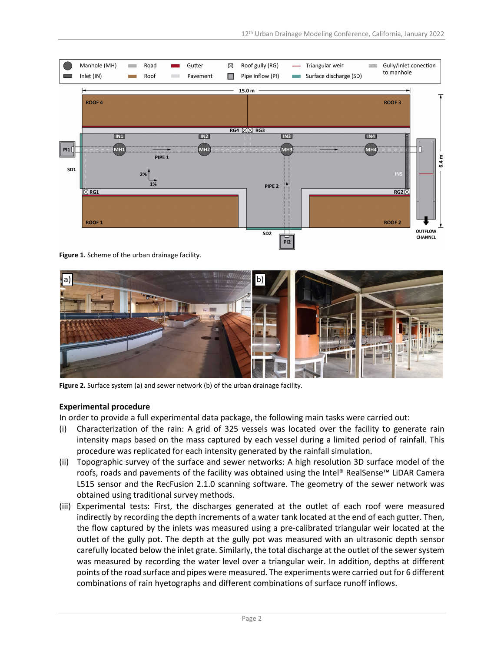

<span id="page-1-0"></span>**Figure 1.** Scheme of the urban drainage facility.



Figure 2. Surface system (a) and sewer network (b) of the urban drainage facility.

#### <span id="page-1-1"></span>**Experimental procedure**

In order to provide a full experimental data package, the following main tasks were carried out:

- (i) Characterization of the rain: A grid of 325 vessels was located over the facility to generate rain intensity maps based on the mass captured by each vessel during a limited period of rainfall. This procedure was replicated for each intensity generated by the rainfall simulation.
- (ii) Topographic survey of the surface and sewer networks: A high resolution 3D surface model of the roofs, roads and pavements of the facility was obtained using the Intel® RealSense™ LiDAR Camera L515 sensor and the RecFusion 2.1.0 scanning software. The geometry of the sewer network was obtained using traditional survey methods.
- (iii) Experimental tests: First, the discharges generated at the outlet of each roof were measured indirectly by recording the depth increments of a water tank located at the end of each gutter. Then, the flow captured by the inlets was measured using a pre-calibrated triangular weir located at the outlet of the gully pot. The depth at the gully pot was measured with an ultrasonic depth sensor carefully located below the inlet grate. Similarly, the total discharge at the outlet of the sewer system was measured by recording the water level over a triangular weir. In addition, depths at different points of the road surface and pipes were measured. The experiments were carried out for 6 different combinations of rain hyetographs and different combinations of surface runoff inflows.